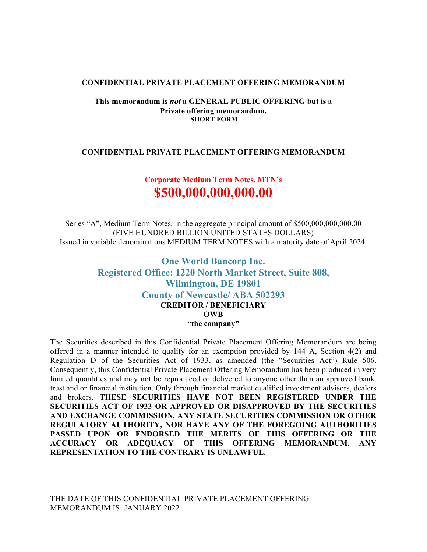#### **CONFIDENTIAL PRIVATE PLACEMENT OFFERING MEMORANDUM**

#### **This memorandum is** *not* **a GENERAL PUBLIC OFFERING but is a Private offering memorandum. SHORT FORM**

#### **CONFIDENTIAL PRIVATE PLACEMENT OFFERING MEMORANDUM**

# **Corporate Medium Term Notes, MTN's \$500,000,000,000.00**

Series "A", Medium Term Notes, in the aggregate principal amount of \$500,000,000,000.00 (FIVE HUNDRED BILLION UNITED STATES DOLLARS) Issued in variable denominations MEDIUM TERM NOTES with a maturity date of April 2024.

# **One World Bancorp Inc. Registered Office: 1220 North Market Street, Suite 808, Wilmington, DE 19801 County of Newcastle/ ABA 502293 CREDITOR / BENEFICIARY OWB "the company"**

The Securities described in this Confidential Private Placement Offering Memorandum are being offered in a manner intended to qualify for an exemption provided by 144 A, Section 4(2) and Regulation D of the Securities Act of 1933, as amended (the "Securities Act") Rule 506. Consequently, this Confidential Private Placement Offering Memorandum has been produced in very limited quantities and may not be reproduced or delivered to anyone other than an approved bank, trust and or financial institution. Only through financial market qualified investment advisors, dealers and brokers. **THESE SECURITIES HAVE NOT BEEN REGISTERED UNDER THE SECURITIES ACT OF 1933 OR APPROVED OR DISAPPROVED BY THE SECURITIES AND EXCHANGE COMMISSION, ANY STATE SECURITIES COMMISSION OR OTHER REGULATORY AUTHORITY, NOR HAVE ANY OF THE FOREGOING AUTHORITIES PASSED UPON OR ENDORSED THE MERITS OF THIS OFFERING OR THE ACCURACY OR ADEQUACY OF THIS OFFERING MEMORANDUM. ANY REPRESENTATION TO THE CONTRARY IS UNLAWFUL.** 

THE DATE OF THIS CONFIDENTIAL PRIVATE PLACEMENT OFFERING MEMORANDUM IS: JANUARY 2022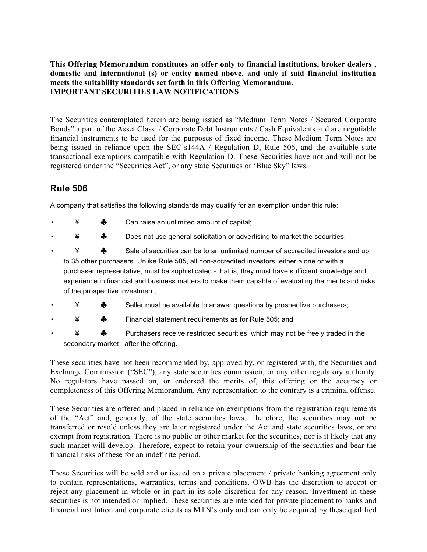## **This Offering Memorandum constitutes an offer only to financial institutions, broker dealers , domestic and international (s) or entity named above, and only if said financial institution meets the suitability standards set forth in this Offering Memorandum. IMPORTANT SECURITIES LAW NOTIFICATIONS**

The Securities contemplated herein are being issued as "Medium Term Notes / Secured Corporate Bonds" a part of the Asset Class / Corporate Debt Instruments / Cash Equivalents and are negotiable financial instruments to be used for the purposes of fixed income. These Medium Term Notes are being issued in reliance upon the SEC's144A / Regulation D, Rule 506, and the available state transactional exemptions compatible with Regulation D. These Securities have not and will not be registered under the "Securities Act", or any state Securities or 'Blue Sky" laws.

# **Rule 506**

A company that satisfies the following standards may qualify for an exemption under this rule:

- $\angle$   $\triangle$  Can raise an unlimited amount of capital;
- $\frac{4}{7}$   **Does not use general solicitation or advertising to market the securities;**
- ¥ ♣ Sale of securities can be to an unlimited number of accredited investors and up to 35 other purchasers. Unlike Rule 505, all non-accredited investors, either alone or with a purchaser representative, must be sophisticated - that is, they must have sufficient knowledge and experience in financial and business matters to make them capable of evaluating the merits and risks of the prospective investment;
- $\clubsuit$  Seller must be available to answer questions by prospective purchasers;
- ¥ ♣ Financial statement requirements as for Rule 505; and
- ¥ ♣ Purchasers receive restricted securities, which may not be freely traded in the secondary market after the offering.

These securities have not been recommended by, approved by, or registered with, the Securities and Exchange Commission ("SEC"), any state securities commission, or any other regulatory authority. No regulators have passed on, or endorsed the merits of, this offering or the accuracy or completeness of this Offering Memorandum. Any representation to the contrary is a criminal offense.

These Securities are offered and placed in reliance on exemptions from the registration requirements of the "Act" and, generally, of the state securities laws. Therefore, the securities may not be transferred or resold unless they are later registered under the Act and state securities laws, or are exempt from registration. There is no public or other market for the securities, nor is it likely that any such market will develop. Therefore, expect to retain your ownership of the securities and bear the financial risks of these for an indefinite period.

These Securities will be sold and or issued on a private placement / private banking agreement only to contain representations, warranties, terms and conditions. OWB has the discretion to accept or reject any placement in whole or in part in its sole discretion for any reason. Investment in these securities is not intended or implied. These securities are intended for private placement to banks and financial institution and corporate clients as MTN's only and can only be acquired by these qualified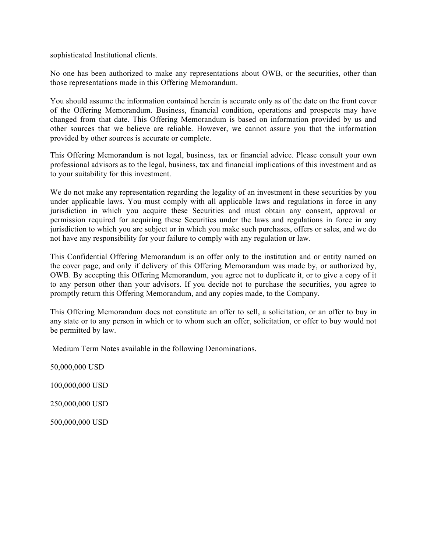sophisticated Institutional clients.

No one has been authorized to make any representations about OWB, or the securities, other than those representations made in this Offering Memorandum.

You should assume the information contained herein is accurate only as of the date on the front cover of the Offering Memorandum. Business, financial condition, operations and prospects may have changed from that date. This Offering Memorandum is based on information provided by us and other sources that we believe are reliable. However, we cannot assure you that the information provided by other sources is accurate or complete.

This Offering Memorandum is not legal, business, tax or financial advice. Please consult your own professional advisors as to the legal, business, tax and financial implications of this investment and as to your suitability for this investment.

We do not make any representation regarding the legality of an investment in these securities by you under applicable laws. You must comply with all applicable laws and regulations in force in any jurisdiction in which you acquire these Securities and must obtain any consent, approval or permission required for acquiring these Securities under the laws and regulations in force in any jurisdiction to which you are subject or in which you make such purchases, offers or sales, and we do not have any responsibility for your failure to comply with any regulation or law.

This Confidential Offering Memorandum is an offer only to the institution and or entity named on the cover page, and only if delivery of this Offering Memorandum was made by, or authorized by, OWB. By accepting this Offering Memorandum, you agree not to duplicate it, or to give a copy of it to any person other than your advisors. If you decide not to purchase the securities, you agree to promptly return this Offering Memorandum, and any copies made, to the Company.

This Offering Memorandum does not constitute an offer to sell, a solicitation, or an offer to buy in any state or to any person in which or to whom such an offer, solicitation, or offer to buy would not be permitted by law.

Medium Term Notes available in the following Denominations.

50,000,000 USD 100,000,000 USD

250,000,000 USD

500,000,000 USD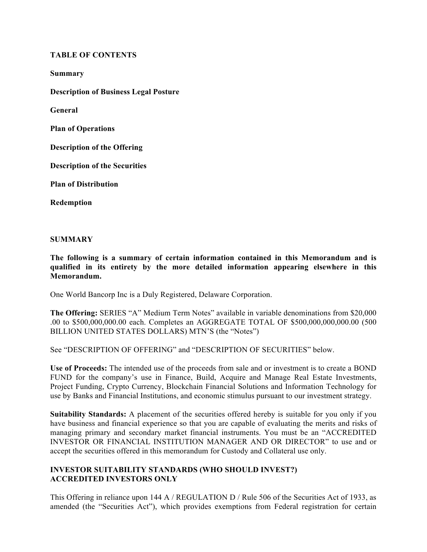#### **TABLE OF CONTENTS**

**Summary Description of Business Legal Posture General Plan of Operations Description of the Offering Description of the Securities Plan of Distribution Redemption**

#### **SUMMARY**

**The following is a summary of certain information contained in this Memorandum and is qualified in its entirety by the more detailed information appearing elsewhere in this Memorandum.** 

One World Bancorp Inc is a Duly Registered, Delaware Corporation.

**The Offering:** SERIES "A" Medium Term Notes" available in variable denominations from \$20,000 .00 to \$500,000,000.00 each. Completes an AGGREGATE TOTAL OF \$500,000,000,000.00 (500 BILLION UNITED STATES DOLLARS) MTN'S (the "Notes")

See "DESCRIPTION OF OFFERING" and "DESCRIPTION OF SECURITIES" below.

**Use of Proceeds:** The intended use of the proceeds from sale and or investment is to create a BOND FUND for the company's use in Finance, Build, Acquire and Manage Real Estate Investments, Project Funding, Crypto Currency, Blockchain Financial Solutions and Information Technology for use by Banks and Financial Institutions, and economic stimulus pursuant to our investment strategy.

**Suitability Standards:** A placement of the securities offered hereby is suitable for you only if you have business and financial experience so that you are capable of evaluating the merits and risks of managing primary and secondary market financial instruments. You must be an "ACCREDITED INVESTOR OR FINANCIAL INSTITUTION MANAGER AND OR DIRECTOR" to use and or accept the securities offered in this memorandum for Custody and Collateral use only.

# **INVESTOR SUITABILITY STANDARDS (WHO SHOULD INVEST?) ACCREDITED INVESTORS ONLY**

This Offering in reliance upon 144 A / REGULATION D / Rule 506 of the Securities Act of 1933, as amended (the "Securities Act"), which provides exemptions from Federal registration for certain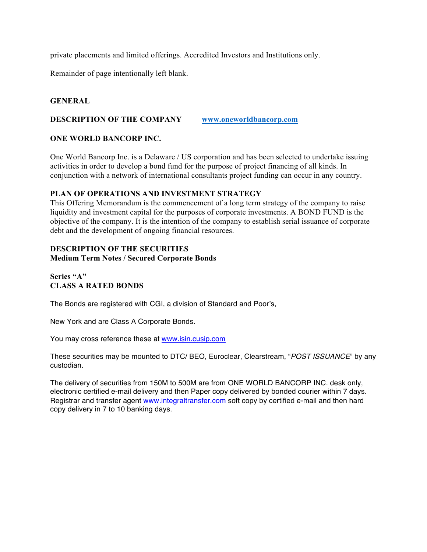private placements and limited offerings. Accredited Investors and Institutions only.

Remainder of page intentionally left blank.

## **GENERAL**

#### **DESCRIPTION OF THE COMPANY www.oneworldbancorp.com**

## **ONE WORLD BANCORP INC.**

One World Bancorp Inc. is a Delaware / US corporation and has been selected to undertake issuing activities in order to develop a bond fund for the purpose of project financing of all kinds. In conjunction with a network of international consultants project funding can occur in any country.

## **PLAN OF OPERATIONS AND INVESTMENT STRATEGY**

This Offering Memorandum is the commencement of a long term strategy of the company to raise liquidity and investment capital for the purposes of corporate investments. A BOND FUND is the objective of the company. It is the intention of the company to establish serial issuance of corporate debt and the development of ongoing financial resources.

## **DESCRIPTION OF THE SECURITIES**

#### **Medium Term Notes / Secured Corporate Bonds**

## **Series "A" CLASS A RATED BONDS**

The Bonds are registered with CGI, a division of Standard and Poor's,

New York and are Class A Corporate Bonds.

You may cross reference these at www.isin.cusip.com

These securities may be mounted to DTC/ BEO, Euroclear, Clearstream, "*POST ISSUANCE*" by any custodian.

The delivery of securities from 150M to 500M are from ONE WORLD BANCORP INC. desk only, electronic certified e-mail delivery and then Paper copy delivered by bonded courier within 7 days. Registrar and transfer agent www.integraltransfer.com soft copy by certified e-mail and then hard copy delivery in 7 to 10 banking days.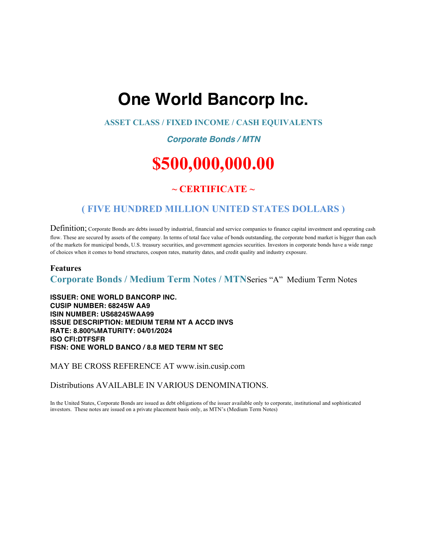# **One World Bancorp Inc.**

## **ASSET CLASS / FIXED INCOME / CASH EQUIVALENTS**

# *Corporate Bonds / MTN*

# **\$500,000,000.00**

# **~ CERTIFICATE ~**

# **( FIVE HUNDRED MILLION UNITED STATES DOLLARS )**

Definition; Corporate Bonds are debts issued by industrial, financial and service companies to finance capital investment and operating cash flow. These are secured by assets of the company. In terms of total face value of bonds outstanding, the corporate bond market is bigger than each of the markets for municipal bonds, U.S. treasury securities, and government agencies securities. Investors in corporate bonds have a wide range of choices when it comes to bond structures, coupon rates, maturity dates, and credit quality and industry exposure.

#### **Features**

**Corporate Bonds / Medium Term Notes / MTN**Series "A" Medium Term Notes

**ISSUER: ONE WORLD BANCORP INC. CUSIP NUMBER: 68245W AA9 ISIN NUMBER: US68245WAA99 ISSUE DESCRIPTION: MEDIUM TERM NT A ACCD INVS RATE: 8.800%MATURITY: 04/01/2024 ISO CFI:DTFSFR FISN: ONE WORLD BANCO / 8.8 MED TERM NT SEC**

MAY BE CROSS REFERENCE AT www.isin.cusip.com

Distributions AVAILABLE IN VARIOUS DENOMINATIONS.

In the United States, Corporate Bonds are issued as debt obligations of the issuer available only to corporate, institutional and sophisticated investors. These notes are issued on a private placement basis only, as MTN's (Medium Term Notes)